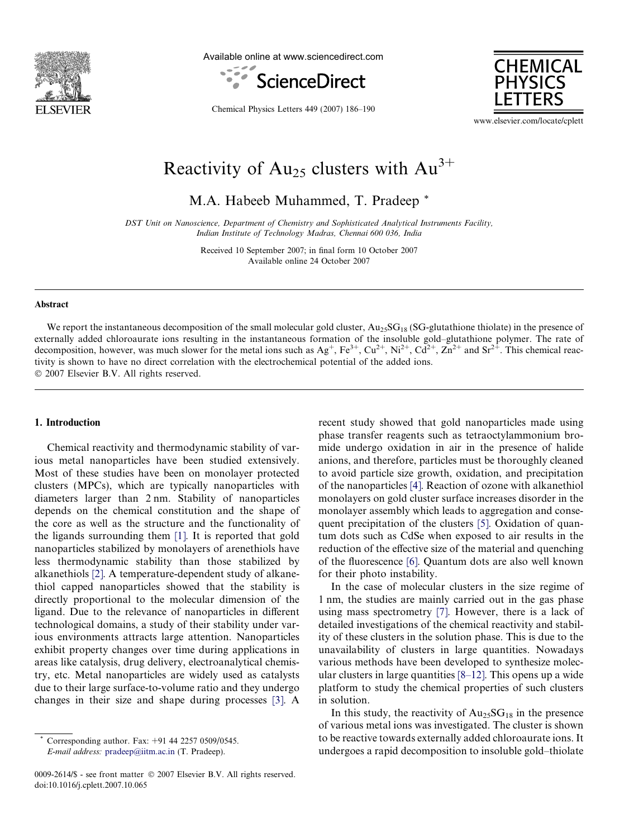

Available online at www.sciencedirect.com





Chemical Physics Letters 449 (2007) 186–190

www.elsevier.com/locate/cplett

# Reactivity of  $Au_{25}$  clusters with  $Au^{3+}$

M.A. Habeeb Muhammed, T. Pradeep \*

DST Unit on Nanoscience, Department of Chemistry and Sophisticated Analytical Instruments Facility, Indian Institute of Technology Madras, Chennai 600 036, India

> Received 10 September 2007; in final form 10 October 2007 Available online 24 October 2007

#### Abstract

We report the instantaneous decomposition of the small molecular gold cluster,  $Au_{25}SG_{18}$  (SG-glutathione thiolate) in the presence of externally added chloroaurate ions resulting in the instantaneous formation of the insoluble gold–glutathione polymer. The rate of decomposition, however, was much slower for the metal ions such as  $Ag^+$ ,  $Fe^{3+}$ ,  $Cu^{2+}$ ,  $Ni^{2+}$ ,  $Cd^{2+}$ ,  $Zn^{2+}$  and  $Sr^{2+}$ . This chemical reactivity is shown to have no direct correlation with the electrochemical potential of the added ions.  $© 2007 Elsevier B.V. All rights reserved.$ 

#### 1. Introduction

Chemical reactivity and thermodynamic stability of various metal nanoparticles have been studied extensively. Most of these studies have been on monolayer protected clusters (MPCs), which are typically nanoparticles with diameters larger than 2 nm. Stability of nanoparticles depends on the chemical constitution and the shape of the core as well as the structure and the functionality of the ligands surrounding them [\[1\].](#page-4-0) It is reported that gold nanoparticles stabilized by monolayers of arenethiols have less thermodynamic stability than those stabilized by alkanethiols [\[2\]](#page-4-0). A temperature-dependent study of alkanethiol capped nanoparticles showed that the stability is directly proportional to the molecular dimension of the ligand. Due to the relevance of nanoparticles in different technological domains, a study of their stability under various environments attracts large attention. Nanoparticles exhibit property changes over time during applications in areas like catalysis, drug delivery, electroanalytical chemistry, etc. Metal nanoparticles are widely used as catalysts due to their large surface-to-volume ratio and they undergo changes in their size and shape during processes [\[3\]](#page-4-0). A

recent study showed that gold nanoparticles made using phase transfer reagents such as tetraoctylammonium bromide undergo oxidation in air in the presence of halide anions, and therefore, particles must be thoroughly cleaned to avoid particle size growth, oxidation, and precipitation of the nanoparticles [\[4\].](#page-4-0) Reaction of ozone with alkanethiol monolayers on gold cluster surface increases disorder in the monolayer assembly which leads to aggregation and consequent precipitation of the clusters [\[5\].](#page-4-0) Oxidation of quantum dots such as CdSe when exposed to air results in the reduction of the effective size of the material and quenching of the fluorescence [\[6\]](#page-4-0). Quantum dots are also well known for their photo instability.

In the case of molecular clusters in the size regime of 1 nm, the studies are mainly carried out in the gas phase using mass spectrometry [\[7\].](#page-4-0) However, there is a lack of detailed investigations of the chemical reactivity and stability of these clusters in the solution phase. This is due to the unavailability of clusters in large quantities. Nowadays various methods have been developed to synthesize molecular clusters in large quantities [\[8–12\].](#page-4-0) This opens up a wide platform to study the chemical properties of such clusters in solution.

In this study, the reactivity of  $Au_{25}SG_{18}$  in the presence of various metal ions was investigated. The cluster is shown to be reactive towards externally added chloroaurate ions. It undergoes a rapid decomposition to insoluble gold–thiolate

Corresponding author. Fax: +91 44 2257 0509/0545. E-mail address: [pradeep@iitm.ac.in](mailto:pradeep@iitm.ac.in) (T. Pradeep).

<sup>0009-2614/\$ -</sup> see front matter © 2007 Elsevier B.V. All rights reserved. doi:10.1016/j.cplett.2007.10.065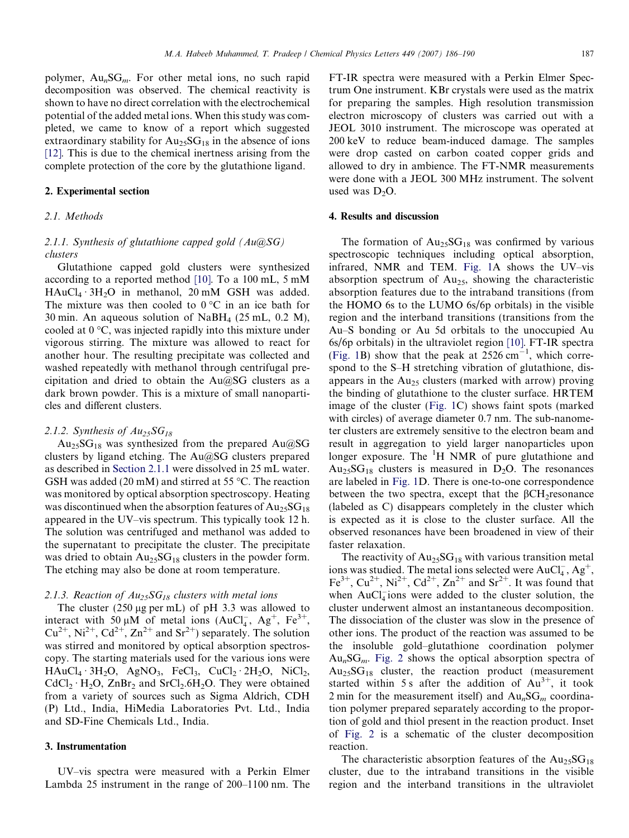#### 2. Experimental section

#### 2.1. Methods

# 2.1.1. Synthesis of glutathione capped gold  $(Au@SG)$ clusters

Glutathione capped gold clusters were synthesized according to a reported method [\[10\]](#page-4-0). To a 100 mL, 5 mM  $HAuCl_4 \cdot 3H_2O$  in methanol, 20 mM GSH was added. The mixture was then cooled to  $0^{\circ}$ C in an ice bath for 30 min. An aqueous solution of NaBH4 (25 mL, 0.2 M), cooled at  $0^{\circ}$ C, was injected rapidly into this mixture under vigorous stirring. The mixture was allowed to react for another hour. The resulting precipitate was collected and washed repeatedly with methanol through centrifugal precipitation and dried to obtain the Au@SG clusters as a dark brown powder. This is a mixture of small nanoparticles and different clusters.

#### 2.1.2. Synthesis of  $Au_{25}SG_{18}$

 $Au_{25}SG_{18}$  was synthesized from the prepared  $Au@SG$ clusters by ligand etching. The Au@SG clusters prepared as described in Section 2.1.1 were dissolved in 25 mL water. GSH was added (20 mM) and stirred at 55 °C. The reaction was monitored by optical absorption spectroscopy. Heating was discontinued when the absorption features of  $Au_{25}SG_{18}$ appeared in the UV–vis spectrum. This typically took 12 h. The solution was centrifuged and methanol was added to the supernatant to precipitate the cluster. The precipitate was dried to obtain  $Au_{25}SG_{18}$  clusters in the powder form. The etching may also be done at room temperature.

# 2.1.3. Reaction of  $Au_{25}SG_{18}$  clusters with metal ions

The cluster  $(250 \mu g \text{ per mL})$  of pH 3.3 was allowed to interact with 50  $\mu$ M of metal ions (AuCl<sub>4</sub>, Ag<sup>+</sup>, Fe<sup>3+</sup>,  $Cu^{2+}$ , Ni<sup>2+</sup>, Cd<sup>2+</sup>, Zn<sup>2+</sup> and Sr<sup>2+</sup>) separately. The solution was stirred and monitored by optical absorption spectroscopy. The starting materials used for the various ions were  $HAuCl_4 \cdot 3H_2O$ ,  $AgNO_3$ ,  $FeCl_3$ ,  $CuCl_2 \cdot 2H_2O$ ,  $NiCl_2$ ,  $CdCl_2 \cdot H_2O$ ,  $ZnBr_2$  and  $SrCl_2.6H_2O$ . They were obtained from a variety of sources such as Sigma Aldrich, CDH (P) Ltd., India, HiMedia Laboratories Pvt. Ltd., India and SD-Fine Chemicals Ltd., India.

# 3. Instrumentation

UV–vis spectra were measured with a Perkin Elmer Lambda 25 instrument in the range of 200–1100 nm. The FT-IR spectra were measured with a Perkin Elmer Spectrum One instrument. KBr crystals were used as the matrix for preparing the samples. High resolution transmission electron microscopy of clusters was carried out with a JEOL 3010 instrument. The microscope was operated at 200 keV to reduce beam-induced damage. The samples were drop casted on carbon coated copper grids and allowed to dry in ambience. The FT-NMR measurements were done with a JEOL 300 MHz instrument. The solvent used was  $D_2O$ .

# 4. Results and discussion

The formation of  $Au_{25}SG_{18}$  was confirmed by various spectroscopic techniques including optical absorption, infrared, NMR and TEM. [Fig. 1A](#page-2-0) shows the UV–vis absorption spectrum of  $Au_{25}$ , showing the characteristic absorption features due to the intraband transitions (from the HOMO 6s to the LUMO 6s/6p orbitals) in the visible region and the interband transitions (transitions from the Au–S bonding or Au 5d orbitals to the unoccupied Au 6s/6p orbitals) in the ultraviolet region [\[10\].](#page-4-0) FT-IR spectra ([Fig. 1B](#page-2-0)) show that the peak at  $2526 \text{ cm}^{-1}$ , which correspond to the S–H stretching vibration of glutathione, disappears in the  $Au_{25}$  clusters (marked with arrow) proving the binding of glutathione to the cluster surface. HRTEM image of the cluster [\(Fig. 1](#page-2-0)C) shows faint spots (marked with circles) of average diameter 0.7 nm. The sub-nanometer clusters are extremely sensitive to the electron beam and result in aggregation to yield larger nanoparticles upon longer exposure. The <sup>1</sup>H NMR of pure glutathione and  $Au_{25}SG_{18}$  clusters is measured in D<sub>2</sub>O. The resonances are labeled in [Fig. 1](#page-2-0)D. There is one-to-one correspondence between the two spectra, except that the  $\beta$ CH<sub>2</sub>resonance (labeled as C) disappears completely in the cluster which is expected as it is close to the cluster surface. All the observed resonances have been broadened in view of their faster relaxation.

The reactivity of  $Au_{25}SG_{18}$  with various transition metal ions was studied. The metal ions selected were  $AuCl<sub>4</sub>$ ,  $Ag<sup>+</sup>$ , Fe<sup>3+</sup>, Cu<sup>2+</sup>, Ni<sup>2+</sup>, Cd<sup>2+</sup>, Zn<sup>2+</sup> and Sr<sup>2+</sup>. It was found that when  $AuCl<sub>4</sub>$  ions were added to the cluster solution, the cluster underwent almost an instantaneous decomposition. The dissociation of the cluster was slow in the presence of other ions. The product of the reaction was assumed to be the insoluble gold–glutathione coordination polymer  $Au_nSG_m$ . [Fig. 2](#page-3-0) shows the optical absorption spectra of  $Au<sub>25</sub>SG<sub>18</sub>$  cluster, the reaction product (measurement started within 5 s after the addition of  $Au^{3+}$ , it took 2 min for the measurement itself) and  $Au_n SG_m$  coordination polymer prepared separately according to the proportion of gold and thiol present in the reaction product. Inset of [Fig. 2](#page-3-0) is a schematic of the cluster decomposition reaction.

The characteristic absorption features of the  $Au_{25}SG_{18}$ cluster, due to the intraband transitions in the visible region and the interband transitions in the ultraviolet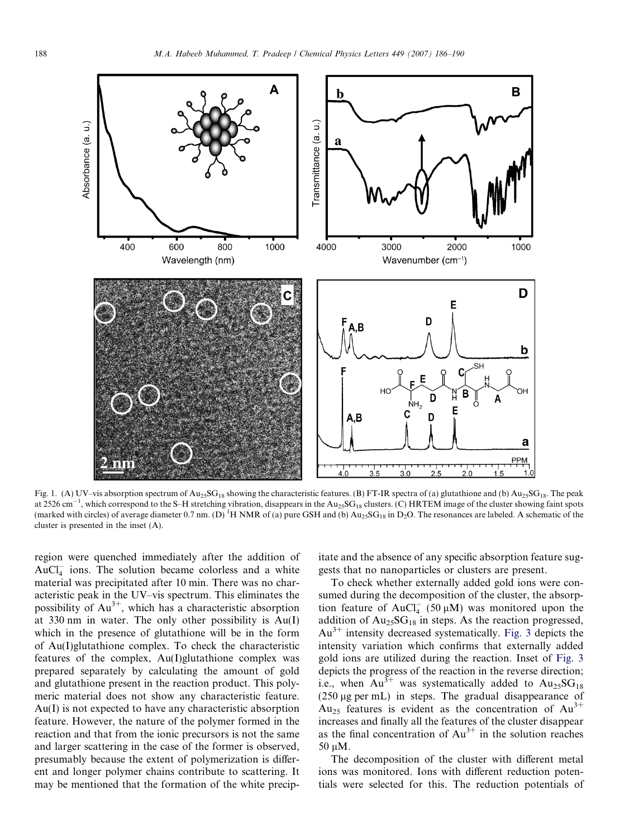<span id="page-2-0"></span>

Fig. 1. (A) UV–vis absorption spectrum of Au<sub>25</sub>SG<sub>18</sub> showing the characteristic features. (B) FT-IR spectra of (a) glutathione and (b) Au<sub>25</sub>SG<sub>18</sub>. The peak at 2526 cm $^{-1}$ , which correspond to the S–H stretching vibration, disappears in the Au<sub>25</sub>SG<sub>18</sub> clusters. (C) HRTEM image of the cluster showing faint spots (marked with circles) of average diameter 0.7 nm. (D) <sup>1</sup>H NMR of (a) pure GSH and (b)  $Au_{25}SG_{18}$  in D<sub>2</sub>O. The resonances are labeled. A schematic of the cluster is presented in the inset (A).

region were quenched immediately after the addition of  $AuCl<sub>4</sub><sup>-</sup>$  ions. The solution became colorless and a white material was precipitated after 10 min. There was no characteristic peak in the UV–vis spectrum. This eliminates the possibility of  $Au^{3+}$ , which has a characteristic absorption at 330 nm in water. The only other possibility is Au(I) which in the presence of glutathione will be in the form of Au(I)glutathione complex. To check the characteristic features of the complex, Au(I)glutathione complex was prepared separately by calculating the amount of gold and glutathione present in the reaction product. This polymeric material does not show any characteristic feature. Au(I) is not expected to have any characteristic absorption feature. However, the nature of the polymer formed in the reaction and that from the ionic precursors is not the same and larger scattering in the case of the former is observed, presumably because the extent of polymerization is different and longer polymer chains contribute to scattering. It may be mentioned that the formation of the white precipitate and the absence of any specific absorption feature suggests that no nanoparticles or clusters are present.

To check whether externally added gold ions were consumed during the decomposition of the cluster, the absorption feature of AuCl<sub>4</sub> (50  $\mu$ M) was monitored upon the addition of  $Au_{25}SG_{18}$  in steps. As the reaction progressed,  $Au^{3+}$  intensity decreased systematically. [Fig. 3](#page-3-0) depicts the intensity variation which confirms that externally added gold ions are utilized during the reaction. Inset of [Fig. 3](#page-3-0) depicts the progress of the reaction in the reverse direction; i.e., when  $Au^{3+}$  was systematically added to  $Au_{25}SG_{18}$  $(250 \mu g \text{ per mL})$  in steps. The gradual disappearance of Au<sub>25</sub> features is evident as the concentration of  $Au^{3+}$ increases and finally all the features of the cluster disappear as the final concentration of  $Au^{3+}$  in the solution reaches  $50 \mu M$ .

The decomposition of the cluster with different metal ions was monitored. Ions with different reduction potentials were selected for this. The reduction potentials of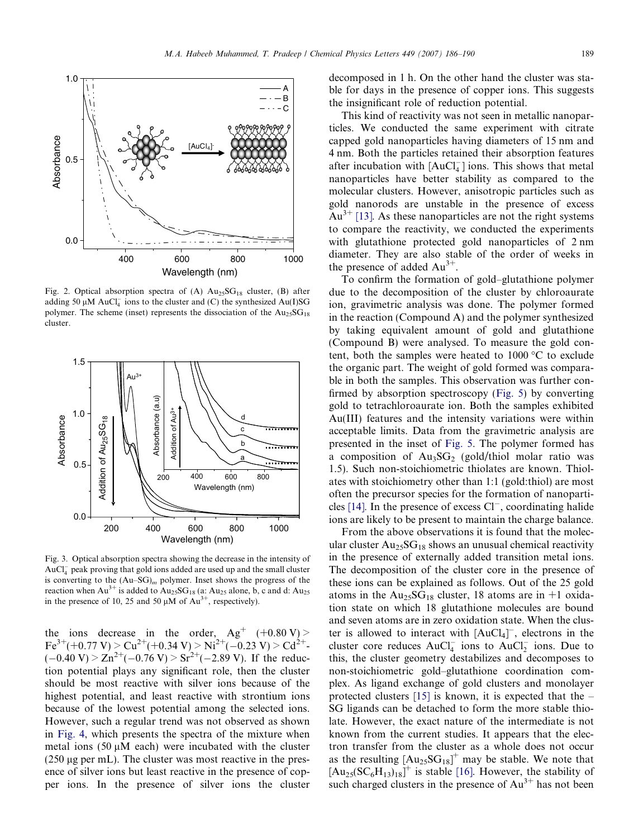<span id="page-3-0"></span>

Fig. 2. Optical absorption spectra of (A)  $Au_{25}SG_{18}$  cluster, (B) after adding 50  $\mu$ M AuCl<sub>4</sub> ions to the cluster and (C) the synthesized Au(I)SG polymer. The scheme (inset) represents the dissociation of the  $Au_{25}SG_{18}$ cluster.



Fig. 3. Optical absorption spectra showing the decrease in the intensity of AuCl<sub>4</sub> peak proving that gold ions added are used up and the small cluster is converting to the  $(Au-SG)<sub>m</sub>$  polymer. Inset shows the progress of the reaction when  $Au^{3+}$  is added to  $Au_{25}SG_{18}$  (a:  $Au_{25}$  alone, b, c and d:  $Au_{25}$ in the presence of 10, 25 and 50  $\mu$ M of Au<sup>3+</sup>, respectively).

the ions decrease in the order,  $Ag^+$  (+0.80 V) >  $\text{Fe}^{3+}(+0.77 \text{ V}) \geq \text{Cu}^{2+}(+0.34 \text{ V}) \geq \text{Ni}^{2+}(-0.23 \text{ V}) \geq \text{Cd}^{2+}$  $(-0.40 \text{ V}) \ge \text{Zn}^{2+}(-0.76 \text{ V}) \ge \text{Sr}^{2+}(-2.89 \text{ V})$ . If the reduction potential plays any significant role, then the cluster should be most reactive with silver ions because of the highest potential, and least reactive with strontium ions because of the lowest potential among the selected ions. However, such a regular trend was not observed as shown in [Fig. 4](#page-4-0), which presents the spectra of the mixture when metal ions  $(50 \mu M \text{ each})$  were incubated with the cluster  $(250 \mu g$  per mL). The cluster was most reactive in the presence of silver ions but least reactive in the presence of copper ions. In the presence of silver ions the cluster decomposed in 1 h. On the other hand the cluster was stable for days in the presence of copper ions. This suggests the insignificant role of reduction potential.

This kind of reactivity was not seen in metallic nanoparticles. We conducted the same experiment with citrate capped gold nanoparticles having diameters of 15 nm and 4 nm. Both the particles retained their absorption features after incubation with  $[AuCl_4^-]$  ions. This shows that metal nanoparticles have better stability as compared to the molecular clusters. However, anisotropic particles such as gold nanorods are unstable in the presence of excess  $Au^{3+}$  [\[13\]](#page-4-0). As these nanoparticles are not the right systems to compare the reactivity, we conducted the experiments with glutathione protected gold nanoparticles of 2 nm diameter. They are also stable of the order of weeks in the presence of added  $Au^{3+}$ .

To confirm the formation of gold–glutathione polymer due to the decomposition of the cluster by chloroaurate ion, gravimetric analysis was done. The polymer formed in the reaction (Compound A) and the polymer synthesized by taking equivalent amount of gold and glutathione (Compound B) were analysed. To measure the gold content, both the samples were heated to  $1000\,^{\circ}\text{C}$  to exclude the organic part. The weight of gold formed was comparable in both the samples. This observation was further confirmed by absorption spectroscopy ([Fig. 5\)](#page-4-0) by converting gold to tetrachloroaurate ion. Both the samples exhibited Au(III) features and the intensity variations were within acceptable limits. Data from the gravimetric analysis are presented in the inset of [Fig. 5.](#page-4-0) The polymer formed has a composition of  $Au_3SG_2$  (gold/thiol molar ratio was 1.5). Such non-stoichiometric thiolates are known. Thiolates with stoichiometry other than 1:1 (gold:thiol) are most often the precursor species for the formation of nanoparti-cles [\[14\]](#page-4-0). In the presence of excess Cl<sup>-</sup>, coordinating halide ions are likely to be present to maintain the charge balance.

From the above observations it is found that the molecular cluster  $Au_{25}SG_{18}$  shows an unusual chemical reactivity in the presence of externally added transition metal ions. The decomposition of the cluster core in the presence of these ions can be explained as follows. Out of the 25 gold atoms in the  $Au_{25}SG_{18}$  cluster, 18 atoms are in +1 oxidation state on which 18 glutathione molecules are bound and seven atoms are in zero oxidation state. When the cluster is allowed to interact with  $[AuCl<sub>4</sub>]<sup>-</sup>$ , electrons in the cluster core reduces  $AuCl_4^-$  ions to  $AuCl_2^-$  ions. Due to this, the cluster geometry destabilizes and decomposes to non-stoichiometric gold–glutathione coordination complex. As ligand exchange of gold clusters and monolayer protected clusters [\[15\]](#page-4-0) is known, it is expected that the – SG ligands can be detached to form the more stable thiolate. However, the exact nature of the intermediate is not known from the current studies. It appears that the electron transfer from the cluster as a whole does not occur as the resulting  $[Au_{25}SG_{18}]^+$  may be stable. We note that  $[Au_{25}(SC_6H_{13})_{18}]^+$  is stable [\[16\]](#page-4-0). However, the stability of such charged clusters in the presence of  $Au^{3+}$  has not been